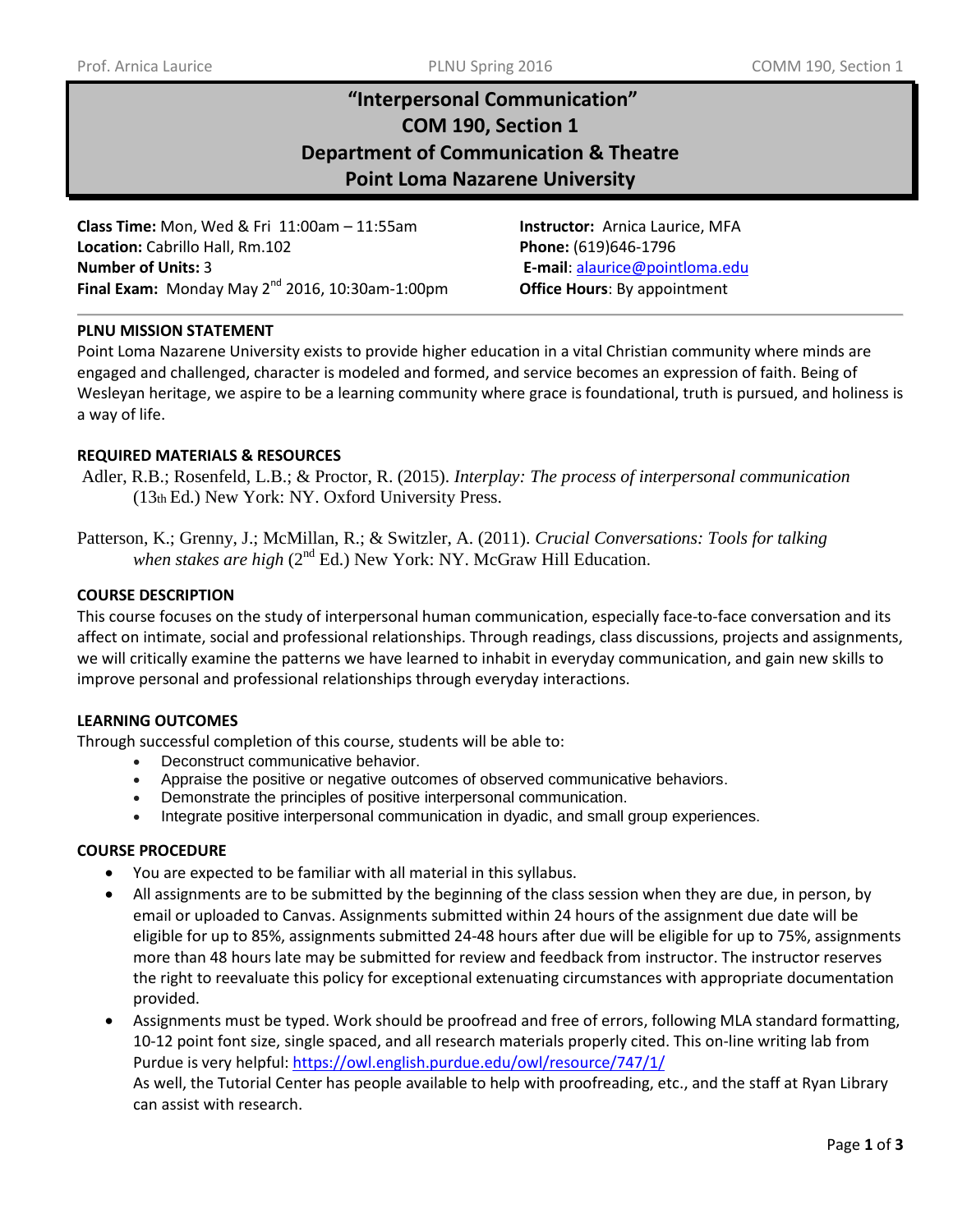# **"Interpersonal Communication" COM 190, Section 1 Department of Communication & Theatre Point Loma Nazarene University**

**Class Time:** Mon, Wed & Fri 11:00am – 11:55am **Instructor:** Arnica Laurice, MFA **Location:** Cabrillo Hall, Rm.102 **Phone:** (619)646-1796 **Number of Units:** 3 **E-mail**: [alaurice@pointloma.edu](mailto:alaurice@pointloma.edu)  **Final Exam:** Monday May 2<sup>nd</sup> 2016, 10:30am-1:00pm **Office Hours**: By appointment

# **PLNU MISSION STATEMENT**

Point Loma Nazarene University exists to provide higher education in a vital Christian community where minds are engaged and challenged, character is modeled and formed, and service becomes an expression of faith. Being of Wesleyan heritage, we aspire to be a learning community where grace is foundational, truth is pursued, and holiness is a way of life.

# **REQUIRED MATERIALS & RESOURCES**

Adler, R.B.; Rosenfeld, L.B.; & Proctor, R. (2015). *Interplay: The process of interpersonal communication*  (13th Ed.) New York: NY. Oxford University Press.

Patterson, K.; Grenny, J.; McMillan, R.; & Switzler, A. (2011). *Crucial Conversations: Tools for talking when stakes are high* (2<sup>nd</sup> Ed.) New York: NY. McGraw Hill Education.

# **COURSE DESCRIPTION**

This course focuses on the study of interpersonal human communication, especially face-to-face conversation and its affect on intimate, social and professional relationships. Through readings, class discussions, projects and assignments, we will critically examine the patterns we have learned to inhabit in everyday communication, and gain new skills to improve personal and professional relationships through everyday interactions.

# **LEARNING OUTCOMES**

Through successful completion of this course, students will be able to:

- Deconstruct communicative behavior.
- Appraise the positive or negative outcomes of observed communicative behaviors.
- Demonstrate the principles of positive interpersonal communication.
- Integrate positive interpersonal communication in dyadic, and small group experiences.

# **COURSE PROCEDURE**

- You are expected to be familiar with all material in this syllabus.
- All assignments are to be submitted by the beginning of the class session when they are due, in person, by email or uploaded to Canvas. Assignments submitted within 24 hours of the assignment due date will be eligible for up to 85%, assignments submitted 24-48 hours after due will be eligible for up to 75%, assignments more than 48 hours late may be submitted for review and feedback from instructor. The instructor reserves the right to reevaluate this policy for exceptional extenuating circumstances with appropriate documentation provided.
- Assignments must be typed. Work should be proofread and free of errors, following MLA standard formatting, 10-12 point font size, single spaced, and all research materials properly cited. This on-line writing lab from Purdue is very helpful: <https://owl.english.purdue.edu/owl/resource/747/1/> As well, the Tutorial Center has people available to help with proofreading, etc., and the staff at Ryan Library can assist with research.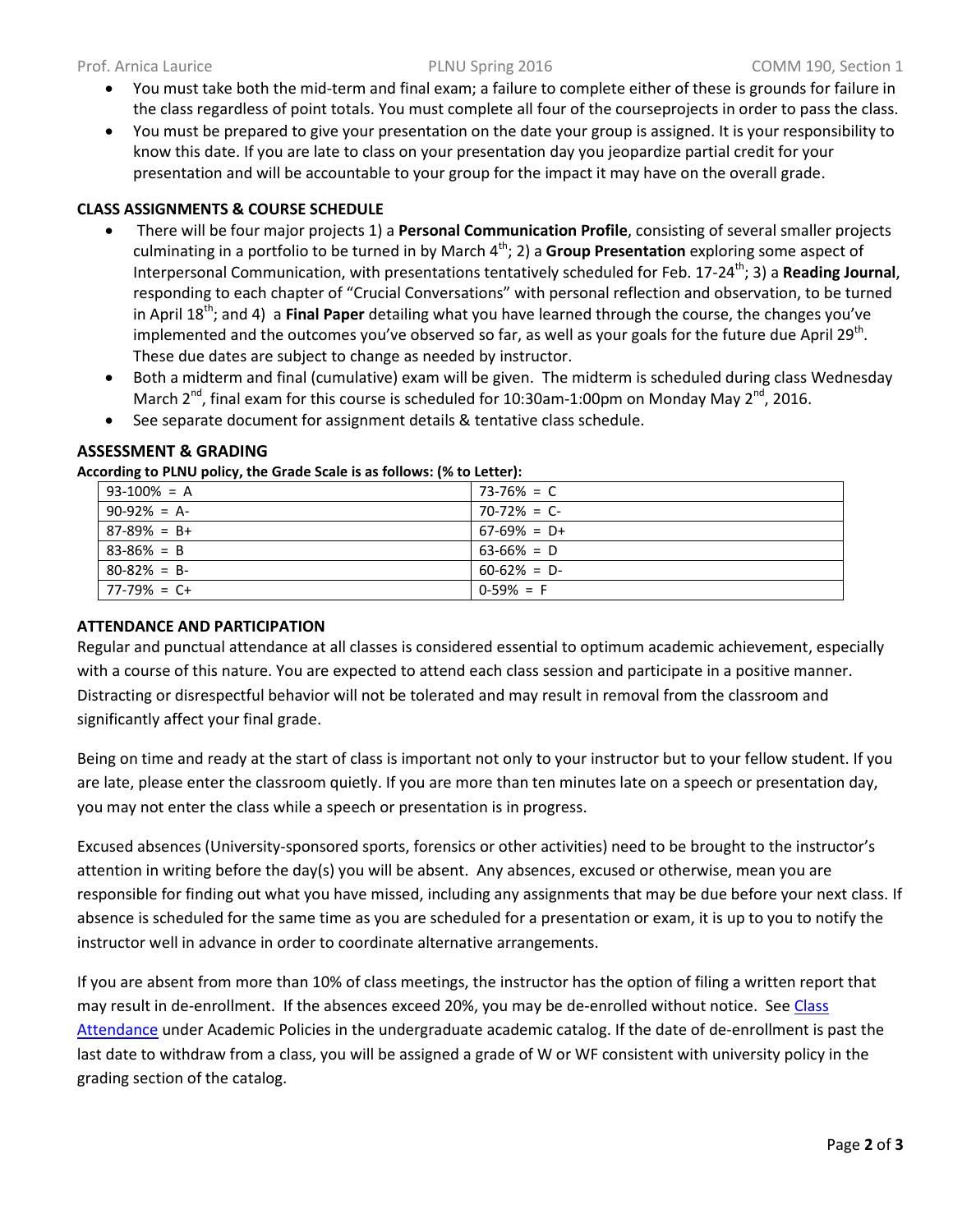- You must take both the mid-term and final exam; a failure to complete either of these is grounds for failure in the class regardless of point totals. You must complete all four of the courseprojects in order to pass the class.
- You must be prepared to give your presentation on the date your group is assigned. It is your responsibility to know this date. If you are late to class on your presentation day you jeopardize partial credit for your presentation and will be accountable to your group for the impact it may have on the overall grade.

# **CLASS ASSIGNMENTS & COURSE SCHEDULE**

- There will be four major projects 1) a **Personal Communication Profile**, consisting of several smaller projects culminating in a portfolio to be turned in by March 4<sup>th</sup>; 2) a Group Presentation exploring some aspect of Interpersonal Communication, with presentations tentatively scheduled for Feb. 17-24<sup>th</sup>; 3) a **Reading Journal**, responding to each chapter of "Crucial Conversations" with personal reflection and observation, to be turned in April 18th; and 4) a **Final Paper** detailing what you have learned through the course, the changes you've implemented and the outcomes you've observed so far, as well as your goals for the future due April 29<sup>th</sup>. These due dates are subject to change as needed by instructor.
- Both a midterm and final (cumulative) exam will be given. The midterm is scheduled during class Wednesday March 2<sup>nd</sup>, final exam for this course is scheduled for 10:30am-1:00pm on Monday May 2<sup>nd</sup>, 2016.
- See separate document for assignment details & tentative class schedule.

# **ASSESSMENT & GRADING**

**According to PLNU policy, the Grade Scale is as follows: (% to Letter):** 

| $93-100% = A$     | $173-76\% = C$  |
|-------------------|-----------------|
| $90-92\% = A$     | $70-72\% = C$   |
| $87-89\% = B+$    | $67-69\% = D+$  |
| $83 - 86\% = B$   | $63 - 66\% = D$ |
| $80 - 82\% = B$   | $60-62\% = D$   |
| $77 - 79\% = C +$ | $0-59\% = F$    |

# **ATTENDANCE AND PARTICIPATION**

Regular and punctual attendance at all classes is considered essential to optimum academic achievement, especially with a course of this nature. You are expected to attend each class session and participate in a positive manner. Distracting or disrespectful behavior will not be tolerated and may result in removal from the classroom and significantly affect your final grade.

Being on time and ready at the start of class is important not only to your instructor but to your fellow student. If you are late, please enter the classroom quietly. If you are more than ten minutes late on a speech or presentation day, you may not enter the class while a speech or presentation is in progress.

Excused absences (University-sponsored sports, forensics or other activities) need to be brought to the instructor's attention in writing before the day(s) you will be absent. Any absences, excused or otherwise, mean you are responsible for finding out what you have missed, including any assignments that may be due before your next class. If absence is scheduled for the same time as you are scheduled for a presentation or exam, it is up to you to notify the instructor well in advance in order to coordinate alternative arrangements.

If you are absent from more than 10% of class meetings, the instructor has the option of filing a written report that may result in de-enrollment. If the absences exceed 20%, you may be de-enrolled without notice. See Class [Attendance](http://catalog.pointloma.edu/content.php?catoid=18&navoid=1278#Class_Attendance) under Academic Policies in the undergraduate academic catalog. If the date of de-enrollment is past the last date to withdraw from a class, you will be assigned a grade of W or WF consistent with university policy in the grading section of the catalog.